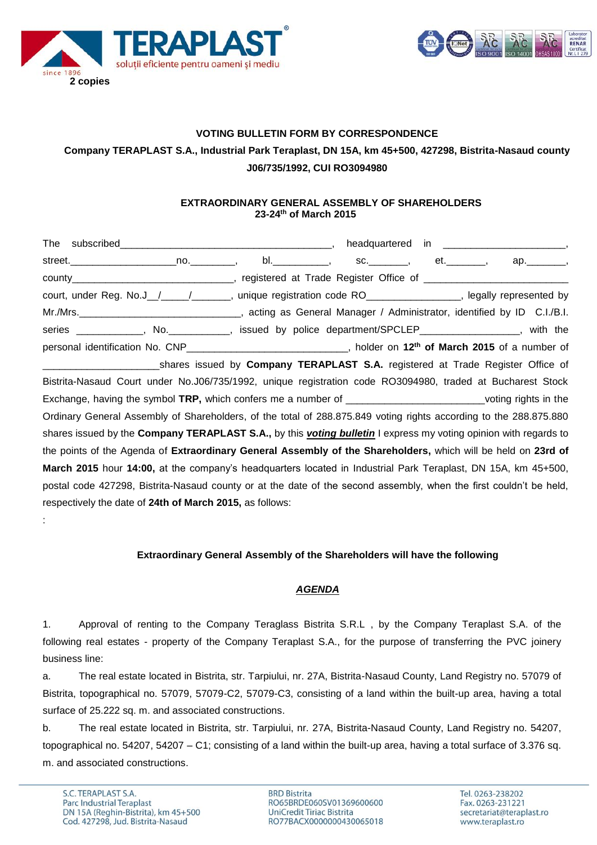



# **VOTING BULLETIN FORM BY CORRESPONDENCE Company TERAPLAST S.A., Industrial Park Teraplast, DN 15A, km 45+500, 427298, Bistrita-Nasaud county**

### **J06/735/1992, CUI RO3094980**

#### **EXTRAORDINARY GENERAL ASSEMBLY OF SHAREHOLDERS 23-24th of March 2015**

| street._______________________no.___________,  bl._____________,  sc._________,   et.________,   ap._________,          |  |  |
|-------------------------------------------------------------------------------------------------------------------------|--|--|
|                                                                                                                         |  |  |
| court, under Reg. No.J_/___/______, unique registration code RO_______________, legally represented by                  |  |  |
|                                                                                                                         |  |  |
| series ____________, No. __________, issued by police department/SPCLEP________________, with the                       |  |  |
| personal identification No. CNP_______________________________, holder on 12 <sup>th</sup> of March 2015 of a number of |  |  |
| shares issued by Company TERAPLAST S.A. registered at Trade Register Office of                                          |  |  |
| Bistrita-Nasaud Court under No.J06/735/1992, unique registration code RO3094980, traded at Bucharest Stock              |  |  |
| Exchange, having the symbol TRP, which confers me a number of _____________________________voting rights in the         |  |  |
| Ordinary General Assembly of Shareholders, of the total of 288.875.849 voting rights according to the 288.875.880       |  |  |
| shares issued by the Company TERAPLAST S.A., by this <i>voting bulletin</i> I express my voting opinion with regards to |  |  |
| the points of the Agenda of Extraordinary General Assembly of the Shareholders, which will be held on 23rd of           |  |  |
| March 2015 hour 14:00, at the company's headquarters located in Industrial Park Teraplast, DN 15A, km 45+500,           |  |  |
| postal code 427298, Bistrita-Nasaud county or at the date of the second assembly, when the first couldn't be held,      |  |  |
| respectively the date of 24th of March 2015, as follows:                                                                |  |  |
|                                                                                                                         |  |  |

#### **Extraordinary General Assembly of the Shareholders will have the following**

#### *AGENDA*

1. Approval of renting to the Company Teraglass Bistrita S.R.L , by the Company Teraplast S.A. of the following real estates - property of the Company Teraplast S.A., for the purpose of transferring the PVC joinery business line:

a. The real estate located in Bistrita, str. Tarpiului, nr. 27A, Bistrita-Nasaud County, Land Registry no. 57079 of Bistrita, topographical no. 57079, 57079-C2, 57079-C3, consisting of a land within the built-up area, having a total surface of 25.222 sq. m. and associated constructions.

b. The real estate located in Bistrita, str. Tarpiului, nr. 27A, Bistrita-Nasaud County, Land Registry no. 54207, topographical no. 54207, 54207 – C1; consisting of a land within the built-up area, having a total surface of 3.376 sq. m. and associated constructions.

**BRD Bistrita** RO65BRDE060SV01369600600 UniCredit Tiriac Bistrita RO77BACX0000000430065018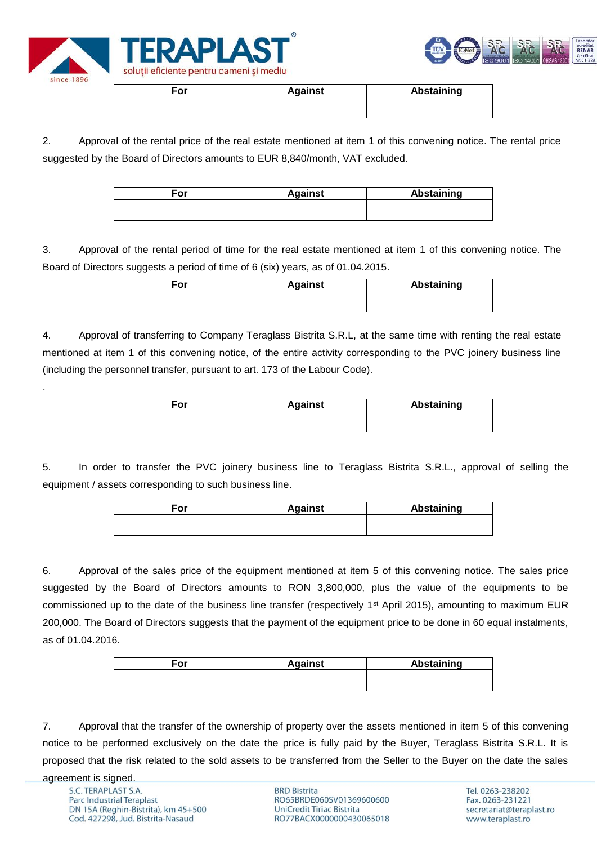



| ≂or | <b>Against</b> | <b>Abstaining</b> |
|-----|----------------|-------------------|
|     |                |                   |
|     |                |                   |

2. Approval of the rental price of the real estate mentioned at item 1 of this convening notice. The rental price suggested by the Board of Directors amounts to EUR 8,840/month, VAT excluded.

| For | <b>Against</b> | <b>Abstaining</b> |
|-----|----------------|-------------------|
|     |                |                   |
|     |                |                   |

3. Approval of the rental period of time for the real estate mentioned at item 1 of this convening notice. The Board of Directors suggests a period of time of 6 (six) years, as of 01.04.2015.

| For | <b>Against</b> | Abstaining |
|-----|----------------|------------|
|     |                |            |
|     |                |            |

4. Approval of transferring to Company Teraglass Bistrita S.R.L, at the same time with renting the real estate mentioned at item 1 of this convening notice, of the entire activity corresponding to the PVC joinery business line (including the personnel transfer, pursuant to art. 173 of the Labour Code).

| For | <b>Against</b> | Abstaining |
|-----|----------------|------------|
|     |                |            |
|     |                |            |

5. In order to transfer the PVC joinery business line to Teraglass Bistrita S.R.L., approval of selling the equipment / assets corresponding to such business line.

| <b>Against</b> | <b>Abstaining</b> |
|----------------|-------------------|
|                |                   |
|                |                   |

6. Approval of the sales price of the equipment mentioned at item 5 of this convening notice. The sales price suggested by the Board of Directors amounts to RON 3,800,000, plus the value of the equipments to be commissioned up to the date of the business line transfer (respectively 1<sup>st</sup> April 2015), amounting to maximum EUR 200,000. The Board of Directors suggests that the payment of the equipment price to be done in 60 equal instalments, as of 01.04.2016.

| For | <b>Against</b> | Abstaining |
|-----|----------------|------------|
|     |                |            |
|     |                |            |

7. Approval that the transfer of the ownership of property over the assets mentioned in item 5 of this convening notice to be performed exclusively on the date the price is fully paid by the Buyer, Teraglass Bistrita S.R.L. It is proposed that the risk related to the sold assets to be transferred from the Seller to the Buyer on the date the sales

.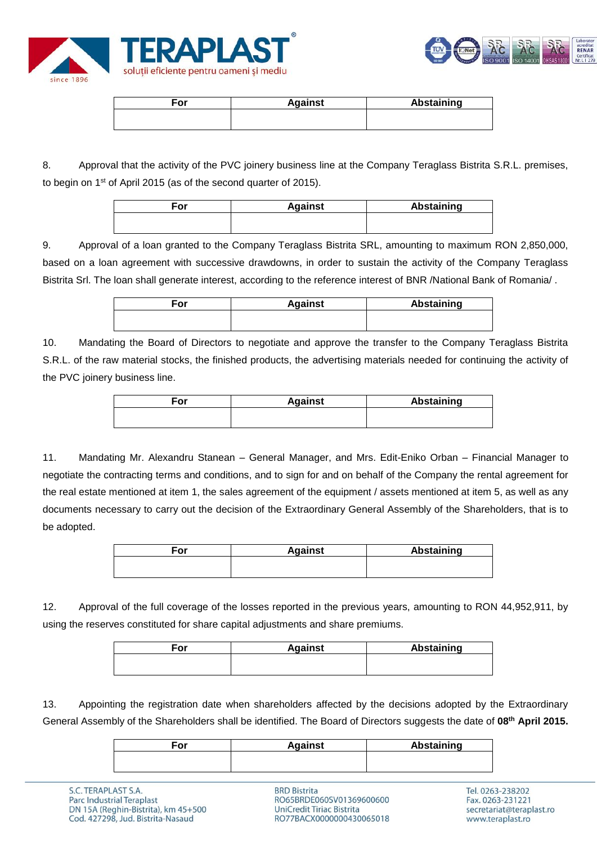



| <b>Against</b> | <b>Abstaining</b> |
|----------------|-------------------|
|                |                   |
|                |                   |

8. Approval that the activity of the PVC joinery business line at the Company Teraglass Bistrita S.R.L. premises, to begin on 1st of April 2015 (as of the second quarter of 2015).

| For | <b>Against</b> | Abstaining |
|-----|----------------|------------|
|     |                |            |

9. Approval of a loan granted to the Company Teraglass Bistrita SRL, amounting to maximum RON 2,850,000, based on a loan agreement with successive drawdowns, in order to sustain the activity of the Company Teraglass Bistrita Srl. The loan shall generate interest, according to the reference interest of BNR /National Bank of Romania/ .

| For | <b>Against</b> | Abstaining |
|-----|----------------|------------|
|     |                |            |

10. Mandating the Board of Directors to negotiate and approve the transfer to the Company Teraglass Bistrita S.R.L. of the raw material stocks, the finished products, the advertising materials needed for continuing the activity of the PVC joinery business line.

| For | <b>Against</b> | Abstaining |
|-----|----------------|------------|
|     |                |            |
|     |                |            |

11. Mandating Mr. Alexandru Stanean – General Manager, and Mrs. Edit-Eniko Orban – Financial Manager to negotiate the contracting terms and conditions, and to sign for and on behalf of the Company the rental agreement for the real estate mentioned at item 1, the sales agreement of the equipment / assets mentioned at item 5, as well as any documents necessary to carry out the decision of the Extraordinary General Assembly of the Shareholders, that is to be adopted.

| For | <b>Against</b> | <b>Abstaining</b> |
|-----|----------------|-------------------|
|     |                |                   |
|     |                |                   |

12. Approval of the full coverage of the losses reported in the previous years, amounting to RON 44,952,911, by using the reserves constituted for share capital adjustments and share premiums.

| For | <b>Against</b> | Abstaining |
|-----|----------------|------------|
|     |                |            |
|     |                |            |

13. Appointing the registration date when shareholders affected by the decisions adopted by the Extraordinary General Assembly of the Shareholders shall be identified. The Board of Directors suggests the date of **08th April 2015.**

| ∃or | <b>Against</b> | Abstaining |
|-----|----------------|------------|
|     |                |            |

**BRD Bistrita** RO65BRDE060SV01369600600 **UniCredit Tiriac Bistrita** RO77BACX0000000430065018